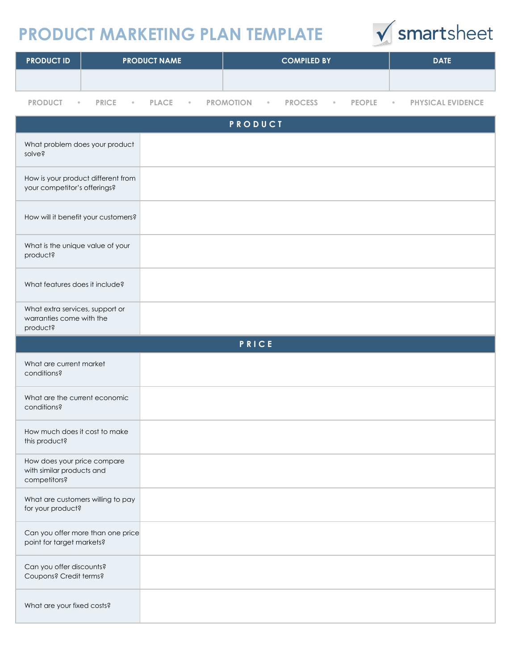## **PRODUCT MARKETING PLAN TEMPLATE**



| <b>PRODUCT ID</b> | <b>PRODUCT NAME</b> | <b>COMPILED BY</b> | <b>DATE</b> |
|-------------------|---------------------|--------------------|-------------|
|                   |                     |                    |             |
|                   |                     |                    |             |

**PRODUCT • PRICE • PLACE • PROMOTION • PROCESS • PEOPLE • PHYSICAL EVIDENCE**

| PRODUCT                                                                  |       |  |
|--------------------------------------------------------------------------|-------|--|
| What problem does your product<br>solve?                                 |       |  |
| How is your product different from<br>your competitor's offerings?       |       |  |
| How will it benefit your customers?                                      |       |  |
| What is the unique value of your<br>product?                             |       |  |
| What features does it include?                                           |       |  |
| What extra services, support or<br>warranties come with the<br>product?  |       |  |
|                                                                          | PRICE |  |
| What are current market<br>conditions?                                   |       |  |
| What are the current economic<br>conditions?                             |       |  |
| How much does it cost to make<br>this product?                           |       |  |
| How does your price compare<br>with similar products and<br>competitors? |       |  |
| What are customers willing to pay<br>for your product?                   |       |  |
| Can you offer more than one price<br>point for target markets?           |       |  |
| Can you offer discounts?<br>Coupons? Credit terms?                       |       |  |
| What are your fixed costs?                                               |       |  |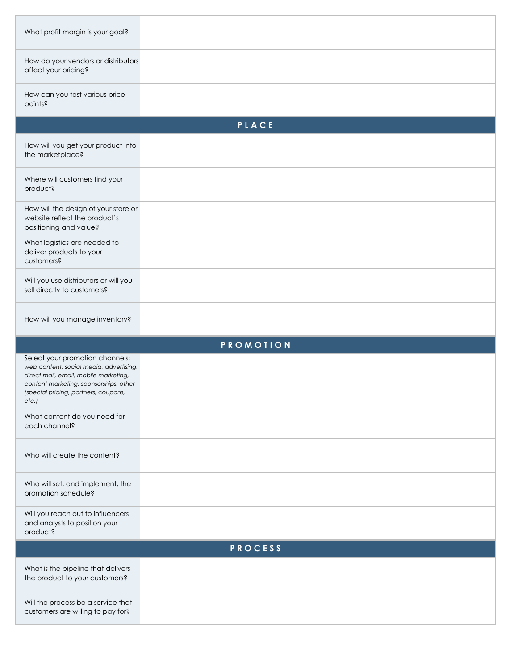| What profit margin is your goal?                                                                                                                                                                              |       |  |  |  |  |
|---------------------------------------------------------------------------------------------------------------------------------------------------------------------------------------------------------------|-------|--|--|--|--|
| How do your vendors or distributors<br>affect your pricing?                                                                                                                                                   |       |  |  |  |  |
| How can you test various price<br>points?                                                                                                                                                                     |       |  |  |  |  |
|                                                                                                                                                                                                               | PLACE |  |  |  |  |
| How will you get your product into<br>the marketplace?                                                                                                                                                        |       |  |  |  |  |
| Where will customers find your<br>product?                                                                                                                                                                    |       |  |  |  |  |
| How will the design of your store or<br>website reflect the product's<br>positioning and value?                                                                                                               |       |  |  |  |  |
| What logistics are needed to<br>deliver products to your<br>customers?                                                                                                                                        |       |  |  |  |  |
| Will you use distributors or will you<br>sell directly to customers?                                                                                                                                          |       |  |  |  |  |
| How will you manage inventory?                                                                                                                                                                                |       |  |  |  |  |
| <b>PROMOTION</b>                                                                                                                                                                                              |       |  |  |  |  |
| Select your promotion channels:<br>web content, social media, advertising,<br>direct mail, email, mobile marketing,<br>content marketing, sponsorships, other<br>(special pricing, partners, coupons,<br>etc. |       |  |  |  |  |
| What content do you need for<br>each channel?                                                                                                                                                                 |       |  |  |  |  |
| Who will create the content?                                                                                                                                                                                  |       |  |  |  |  |
| Who will set, and implement, the<br>promotion schedule?                                                                                                                                                       |       |  |  |  |  |
| Will you reach out to influencers<br>and analysts to position your<br>product?                                                                                                                                |       |  |  |  |  |
| PROCESS                                                                                                                                                                                                       |       |  |  |  |  |
| What is the pipeline that delivers<br>the product to your customers?                                                                                                                                          |       |  |  |  |  |
| Will the process be a service that<br>customers are willing to pay for?                                                                                                                                       |       |  |  |  |  |